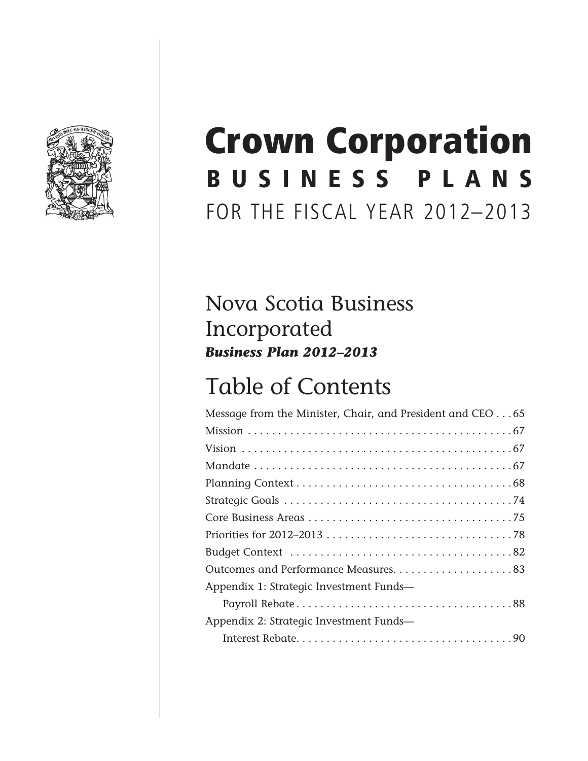

## BUSINESS PLANS FOR THE FISCAL YEAR 2012–2013 Crown Corporation

## Nova Scotia Business Incorporated *Business Plan 2012–2013*

## Table of Contents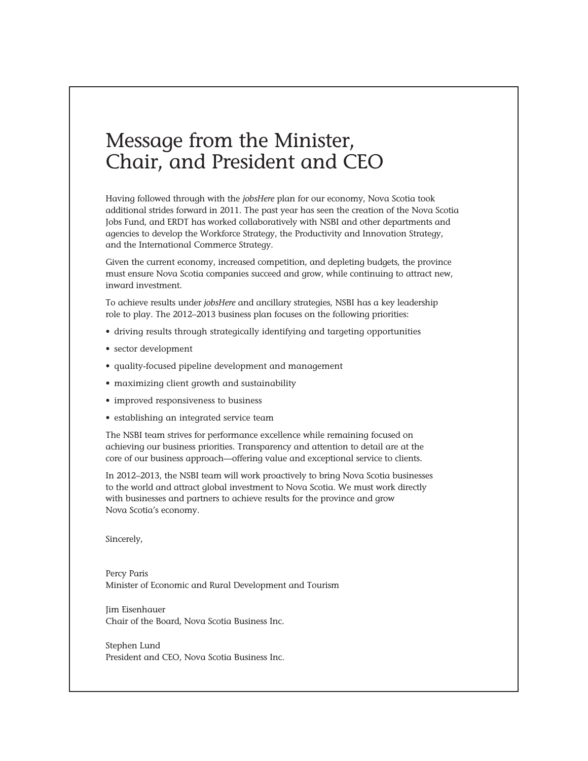### Message from the Minister, Chair, and President and CEO

Having followed through with the *jobsHere* plan for our economy, Nova Scotia took additional strides forward in 2011. The past year has seen the creation of the Nova Scotia Jobs Fund, and ERDT has worked collaboratively with NSBI and other departments and agencies to develop the Workforce Strategy, the Productivity and Innovation Strategy, and the International Commerce Strategy.

Given the current economy, increased competition, and depleting budgets, the province must ensure Nova Scotia companies succeed and grow, while continuing to attract new, inward investment.

To achieve results under *jobsHere* and ancillary strategies, NSBI has a key leadership role to play. The 2012–2013 business plan focuses on the following priorities:

- • driving results through strategically identifying and targeting opportunities
- sector development
- • quality-focused pipeline development and management
- • maximizing client growth and sustainability
- improved responsiveness to business
- establishing an integrated service team

The NSBI team strives for performance excellence while remaining focused on achieving our business priorities. Transparency and attention to detail are at the core of our business approach—offering value and exceptional service to clients.

In 2012–2013, the NSBI team will work proactively to bring Nova Scotia businesses to the world and attract global investment to Nova Scotia. We must work directly with businesses and partners to achieve results for the province and grow Nova Scotia's economy.

Sincerely,

Percy Paris Minister of Economic and Rural Development and Tourism

Jim Eisenhauer Chair of the Board, Nova Scotia Business Inc.

Stephen Lund President and CEO, Nova Scotia Business Inc.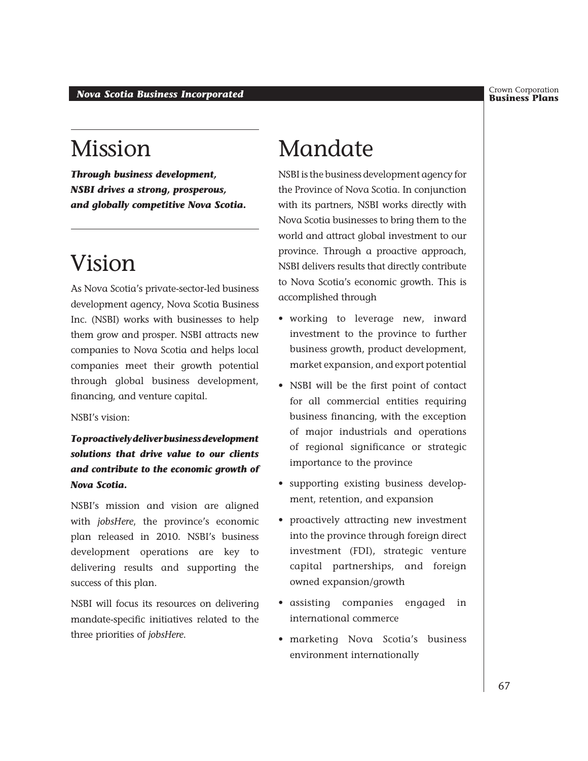Crown Corporation<br>**Business Plans** 

## Mission

*Through business development, NSBI drives a strong, prosperous, and globally competitive Nova Scotia.*

## Vision

As Nova Scotia's private-sector-led business development agency, Nova Scotia Business Inc. (NSBI) works with businesses to help them grow and prosper. NSBI attracts new companies to Nova Scotia and helps local companies meet their growth potential through global business development, financing, and venture capital.

#### NSBI's vision:

*To proactively deliver business development solutions that drive value to our clients and contribute to the economic growth of Nova Scotia.*

NSBI's mission and vision are aligned with *jobsHere*, the province's economic plan released in 2010. NSBI's business development operations are key to delivering results and supporting the success of this plan.

NSBI will focus its resources on delivering mandate-specific initiatives related to the three priorities of *jobsHere*.

## Mandate

NSBI is the business development agency for the Province of Nova Scotia. In conjunction with its partners, NSBI works directly with Nova Scotia businesses to bring them to the world and attract global investment to our province. Through a proactive approach, NSBI delivers results that directly contribute to Nova Scotia's economic growth. This is accomplished through

- • working to leverage new, inward investment to the province to further business growth, product development, market expansion, and export potential
- • NSBI will be the first point of contact for all commercial entities requiring business financing, with the exception of major industrials and operations of regional significance or strategic importance to the province
- • supporting existing business development, retention, and expansion
- proactively attracting new investment into the province through foreign direct investment (FDI), strategic venture capital partnerships, and foreign owned expansion/growth
- • assisting companies engaged in international commerce
- marketing Nova Scotia's business environment internationally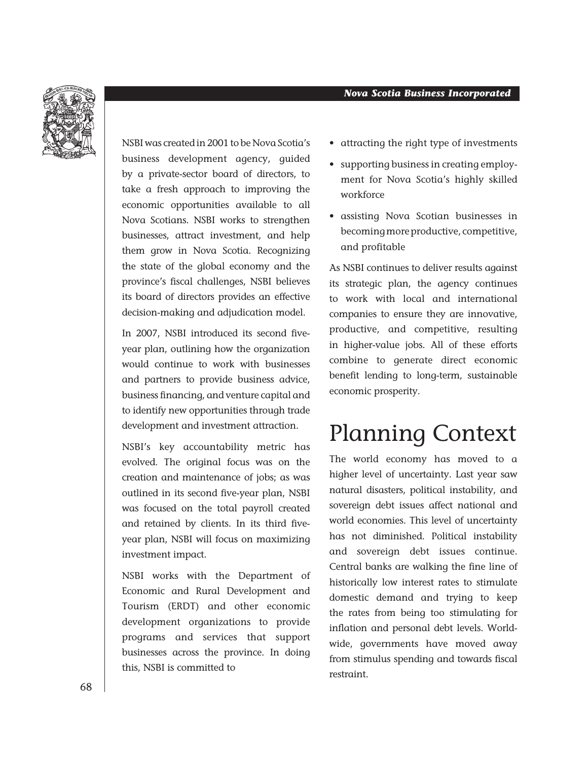

NSBI was created in 2001 to be Nova Scotia's business development agency, guided by a private-sector board of directors, to take a fresh approach to improving the economic opportunities available to all Nova Scotians. NSBI works to strengthen businesses, attract investment, and help them grow in Nova Scotia. Recognizing the state of the global economy and the province's fiscal challenges, NSBI believes its board of directors provides an effective decision-making and adjudication model.

In 2007, NSBI introduced its second fiveyear plan, outlining how the organization would continue to work with businesses and partners to provide business advice, business financing, and venture capital and to identify new opportunities through trade development and investment attraction.

NSBI's key accountability metric has evolved. The original focus was on the creation and maintenance of jobs; as was outlined in its second five-year plan, NSBI was focused on the total payroll created and retained by clients. In its third fiveyear plan, NSBI will focus on maximizing investment impact.

NSBI works with the Department of Economic and Rural Development and Tourism (ERDT) and other economic development organizations to provide programs and services that support businesses across the province. In doing this, NSBI is committed to

- • attracting the right type of investments
- supporting business in creating employment for Nova Scotia's highly skilled workforce
- • assisting Nova Scotian businesses in becoming more productive, competitive, and profitable

As NSBI continues to deliver results against its strategic plan, the agency continues to work with local and international companies to ensure they are innovative, productive, and competitive, resulting in higher-value jobs. All of these efforts combine to generate direct economic benefit lending to long-term, sustainable economic prosperity.

## Planning Context

The world economy has moved to a higher level of uncertainty. Last year saw natural disasters, political instability, and sovereign debt issues affect national and world economies. This level of uncertainty has not diminished. Political instability and sovereign debt issues continue. Central banks are walking the fine line of historically low interest rates to stimulate domestic demand and trying to keep the rates from being too stimulating for inflation and personal debt levels. Worldwide, governments have moved away from stimulus spending and towards fiscal restraint.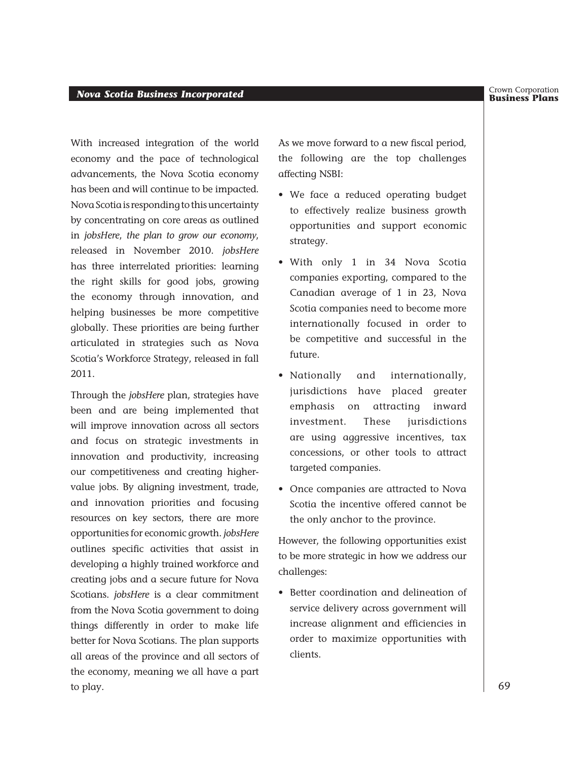With increased integration of the world economy and the pace of technological advancements, the Nova Scotia economy has been and will continue to be impacted. Nova Scotia is responding to this uncertainty by concentrating on core areas as outlined in *jobsHere*, *the plan to grow our economy*, released in November 2010. *jobsHere* has three interrelated priorities: learning the right skills for good jobs, growing the economy through innovation, and helping businesses be more competitive globally. These priorities are being further articulated in strategies such as Nova Scotia's Workforce Strategy, released in fall 2011.

Through the *jobsHere* plan, strategies have been and are being implemented that will improve innovation across all sectors and focus on strategic investments in innovation and productivity, increasing our competitiveness and creating highervalue jobs. By aligning investment, trade, and innovation priorities and focusing resources on key sectors, there are more opportunities for economic growth. *jobsHere* outlines specific activities that assist in developing a highly trained workforce and creating jobs and a secure future for Nova Scotians. *jobsHere* is a clear commitment from the Nova Scotia government to doing things differently in order to make life better for Nova Scotians. The plan supports all areas of the province and all sectors of the economy, meaning we all have a part to play.

As we move forward to a new fiscal period, the following are the top challenges affecting NSBI:

- • We face a reduced operating budget to effectively realize business growth opportunities and support economic strategy.
- • With only 1 in 34 Nova Scotia companies exporting, compared to the Canadian average of 1 in 23, Nova Scotia companies need to become more internationally focused in order to be competitive and successful in the future.
- • Nationally and internationally, jurisdictions have placed greater emphasis on attracting inward investment. These jurisdictions are using aggressive incentives, tax concessions, or other tools to attract targeted companies.
- • Once companies are attracted to Nova Scotia the incentive offered cannot be the only anchor to the province.

However, the following opportunities exist to be more strategic in how we address our challenges:

• Better coordination and delineation of service delivery across government will increase alignment and efficiencies in order to maximize opportunities with clients.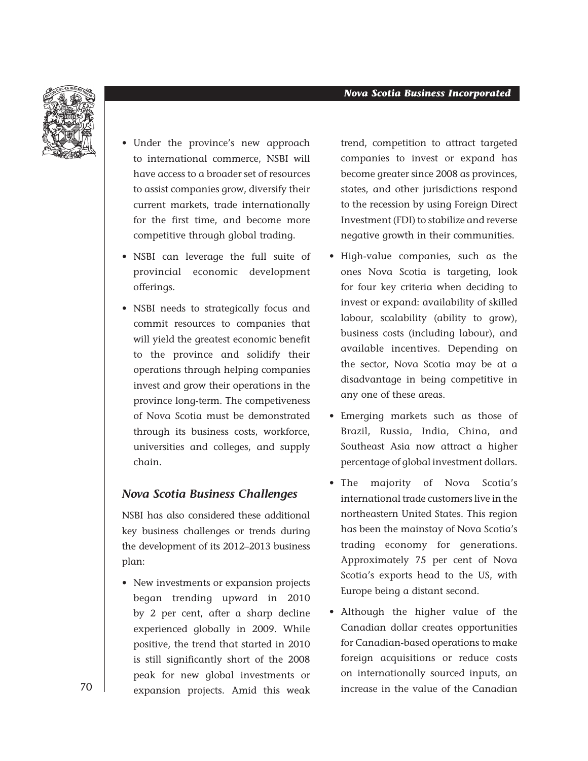

- • Under the province's new approach to international commerce, NSBI will have access to a broader set of resources to assist companies grow, diversify their current markets, trade internationally for the first time, and become more competitive through global trading.
- • NSBI can leverage the full suite of provincial economic development offerings.
- • NSBI needs to strategically focus and commit resources to companies that will yield the greatest economic benefit to the province and solidify their operations through helping companies invest and grow their operations in the province long-term. The competiveness of Nova Scotia must be demonstrated through its business costs, workforce, universities and colleges, and supply chain.

#### *Nova Scotia Business Challenges*

NSBI has also considered these additional key business challenges or trends during the development of its 2012–2013 business plan:

• New investments or expansion projects began trending upward in 2010 by 2 per cent, after a sharp decline experienced globally in 2009. While positive, the trend that started in 2010 is still significantly short of the 2008 peak for new global investments or expansion projects. Amid this weak

trend, competition to attract targeted companies to invest or expand has become greater since 2008 as provinces, states, and other jurisdictions respond to the recession by using Foreign Direct Investment (FDI) to stabilize and reverse negative growth in their communities.

- • High-value companies, such as the ones Nova Scotia is targeting, look for four key criteria when deciding to invest or expand: availability of skilled labour, scalability (ability to grow), business costs (including labour), and available incentives. Depending on the sector, Nova Scotia may be at a disadvantage in being competitive in any one of these areas.
- • Emerging markets such as those of Brazil, Russia, India, China, and Southeast Asia now attract a higher percentage of global investment dollars.
- The majority of Nova Scotia's international trade customers live in the northeastern United States. This region has been the mainstay of Nova Scotia's trading economy for generations. Approximately 75 per cent of Nova Scotia's exports head to the US, with Europe being a distant second.
- • Although the higher value of the Canadian dollar creates opportunities for Canadian-based operations to make foreign acquisitions or reduce costs on internationally sourced inputs, an increase in the value of the Canadian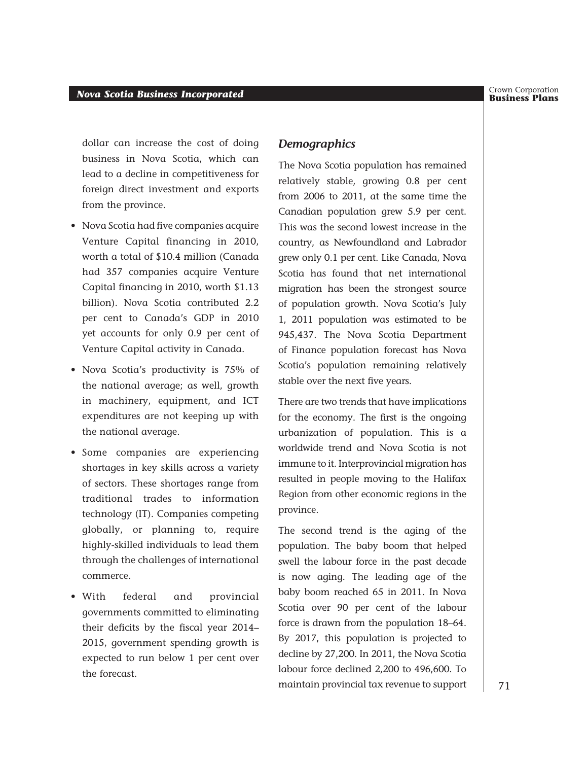dollar can increase the cost of doing business in Nova Scotia, which can lead to a decline in competitiveness for foreign direct investment and exports from the province.

- • Nova Scotia had five companies acquire Venture Capital financing in 2010, worth a total of \$10.4 million (Canada had 357 companies acquire Venture Capital financing in 2010, worth \$1.13 billion). Nova Scotia contributed 2.2 per cent to Canada's GDP in 2010 yet accounts for only 0.9 per cent of Venture Capital activity in Canada.
- • Nova Scotia's productivity is 75% of the national average; as well, growth in machinery, equipment, and ICT expenditures are not keeping up with the national average.
- • Some companies are experiencing shortages in key skills across a variety of sectors. These shortages range from traditional trades to information technology (IT). Companies competing globally, or planning to, require highly-skilled individuals to lead them through the challenges of international commerce.
- • With federal and provincial governments committed to eliminating their deficits by the fiscal year 2014– 2015, government spending growth is expected to run below 1 per cent over the forecast.

#### *Demographics*

The Nova Scotia population has remained relatively stable, growing 0.8 per cent from 2006 to 2011, at the same time the Canadian population grew 5.9 per cent. This was the second lowest increase in the country, as Newfoundland and Labrador grew only 0.1 per cent. Like Canada, Nova Scotia has found that net international migration has been the strongest source of population growth. Nova Scotia's July 1, 2011 population was estimated to be 945,437. The Nova Scotia Department of Finance population forecast has Nova Scotia's population remaining relatively stable over the next five years.

There are two trends that have implications for the economy. The first is the ongoing urbanization of population. This is a worldwide trend and Nova Scotia is not immune to it. Interprovincial migration has resulted in people moving to the Halifax Region from other economic regions in the province.

The second trend is the aging of the population. The baby boom that helped swell the labour force in the past decade is now aging. The leading age of the baby boom reached 65 in 2011. In Nova Scotia over 90 per cent of the labour force is drawn from the population 18–64. By 2017, this population is projected to decline by 27,200. In 2011, the Nova Scotia labour force declined 2,200 to 496,600. To maintain provincial tax revenue to support

Crown Corporation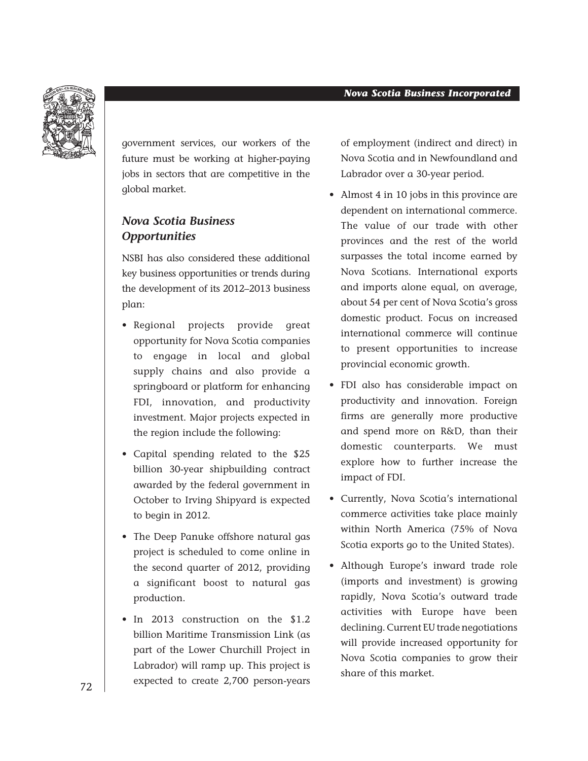

government services, our workers of the future must be working at higher-paying jobs in sectors that are competitive in the global market.

#### *Nova Scotia Business Opportunities*

NSBI has also considered these additional key business opportunities or trends during the development of its 2012–2013 business plan:

- • Regional projects provide great opportunity for Nova Scotia companies to engage in local and global supply chains and also provide a springboard or platform for enhancing FDI, innovation, and productivity investment. Major projects expected in the region include the following:
- • Capital spending related to the \$25 billion 30-year shipbuilding contract awarded by the federal government in October to Irving Shipyard is expected to begin in 2012.
- The Deep Panuke offshore natural gas project is scheduled to come online in the second quarter of 2012, providing a significant boost to natural gas production.
- In 2013 construction on the \$1.2 billion Maritime Transmission Link (as part of the Lower Churchill Project in Labrador) will ramp up. This project is expected to create 2,700 person-years

of employment (indirect and direct) in Nova Scotia and in Newfoundland and Labrador over a 30-year period.

- Almost 4 in 10 jobs in this province are dependent on international commerce. The value of our trade with other provinces and the rest of the world surpasses the total income earned by Nova Scotians. International exports and imports alone equal, on average, about 54 per cent of Nova Scotia's gross domestic product. Focus on increased international commerce will continue to present opportunities to increase provincial economic growth.
- • FDI also has considerable impact on productivity and innovation. Foreign firms are generally more productive and spend more on R&D, than their domestic counterparts. We must explore how to further increase the impact of FDI.
- • Currently, Nova Scotia's international commerce activities take place mainly within North America (75% of Nova Scotia exports go to the United States).
- • Although Europe's inward trade role (imports and investment) is growing rapidly, Nova Scotia's outward trade activities with Europe have been declining. Current EU trade negotiations will provide increased opportunity for Nova Scotia companies to grow their share of this market.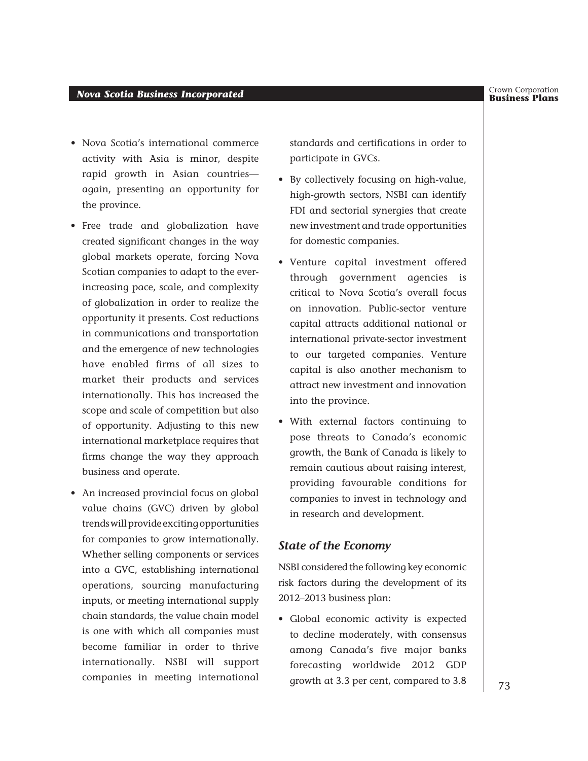#### **Business Plans** *Nova Scotia Business Incorporated*

- Nova Scotia's international commerce activity with Asia is minor, despite rapid growth in Asian countries again, presenting an opportunity for the province.
- Free trade and globalization have created significant changes in the way global markets operate, forcing Nova Scotian companies to adapt to the everincreasing pace, scale, and complexity of globalization in order to realize the opportunity it presents. Cost reductions in communications and transportation and the emergence of new technologies have enabled firms of all sizes to market their products and services internationally. This has increased the scope and scale of competition but also of opportunity. Adjusting to this new international marketplace requires that firms change the way they approach business and operate.
- An increased provincial focus on global value chains (GVC) driven by global trends will provide exciting opportunities for companies to grow internationally. Whether selling components or services into a GVC, establishing international operations, sourcing manufacturing inputs, or meeting international supply chain standards, the value chain model is one with which all companies must become familiar in order to thrive internationally. NSBI will support companies in meeting international

standards and certifications in order to participate in GVCs.

- • By collectively focusing on high-value, high-growth sectors, NSBI can identify FDI and sectorial synergies that create new investment and trade opportunities for domestic companies.
- • Venture capital investment offered through government agencies is critical to Nova Scotia's overall focus on innovation. Public-sector venture capital attracts additional national or international private-sector investment to our targeted companies. Venture capital is also another mechanism to attract new investment and innovation into the province.
- • With external factors continuing to pose threats to Canada's economic growth, the Bank of Canada is likely to remain cautious about raising interest, providing favourable conditions for companies to invest in technology and in research and development.

#### *State of the Economy*

NSBI considered the following key economic risk factors during the development of its 2012–2013 business plan:

• Global economic activity is expected to decline moderately, with consensus among Canada's five major banks forecasting worldwide 2012 GDP growth at 3.3 per cent, compared to 3.8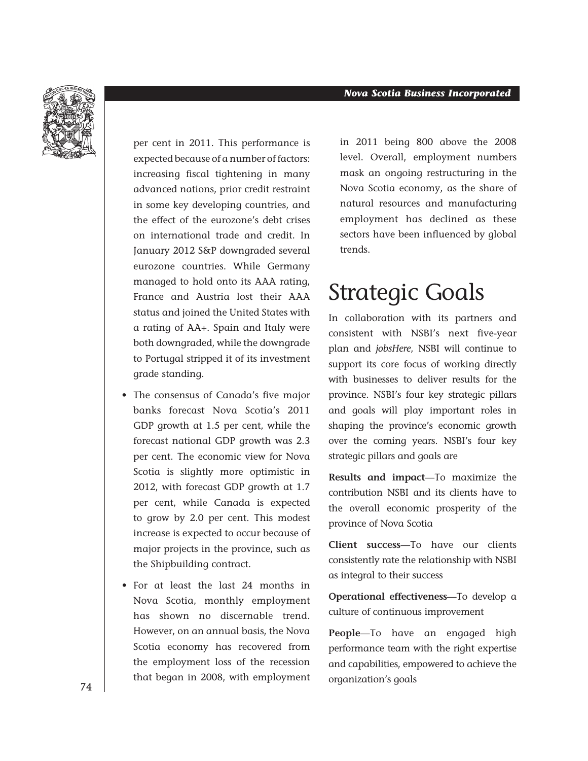

per cent in 2011. This performance is expected because of a number of factors: increasing fiscal tightening in many advanced nations, prior credit restraint in some key developing countries, and the effect of the eurozone's debt crises on international trade and credit. In January 2012 S&P downgraded several eurozone countries. While Germany managed to hold onto its AAA rating, France and Austria lost their AAA status and joined the United States with a rating of AA+. Spain and Italy were both downgraded, while the downgrade to Portugal stripped it of its investment grade standing.

- The consensus of Canada's five major banks forecast Nova Scotia's 2011 GDP growth at 1.5 per cent, while the forecast national GDP growth was 2.3 per cent. The economic view for Nova Scotia is slightly more optimistic in 2012, with forecast GDP growth at 1.7 per cent, while Canada is expected to grow by 2.0 per cent. This modest increase is expected to occur because of major projects in the province, such as the Shipbuilding contract.
- • For at least the last 24 months in Nova Scotia, monthly employment has shown no discernable trend. However, on an annual basis, the Nova Scotia economy has recovered from the employment loss of the recession that began in 2008, with employment

in 2011 being 800 above the 2008 level. Overall, employment numbers mask an ongoing restructuring in the Nova Scotia economy, as the share of natural resources and manufacturing employment has declined as these sectors have been influenced by global trends.

## Strategic Goals

In collaboration with its partners and consistent with NSBI's next five-year plan and *jobsHere*, NSBI will continue to support its core focus of working directly with businesses to deliver results for the province. NSBI's four key strategic pillars and goals will play important roles in shaping the province's economic growth over the coming years. NSBI's four key strategic pillars and goals are

**Results and impact**—To maximize the contribution NSBI and its clients have to the overall economic prosperity of the province of Nova Scotia

**Client success**—To have our clients consistently rate the relationship with NSBI as integral to their success

**Operational effectiveness**—To develop a culture of continuous improvement

**People**—To have an engaged high performance team with the right expertise and capabilities, empowered to achieve the organization's goals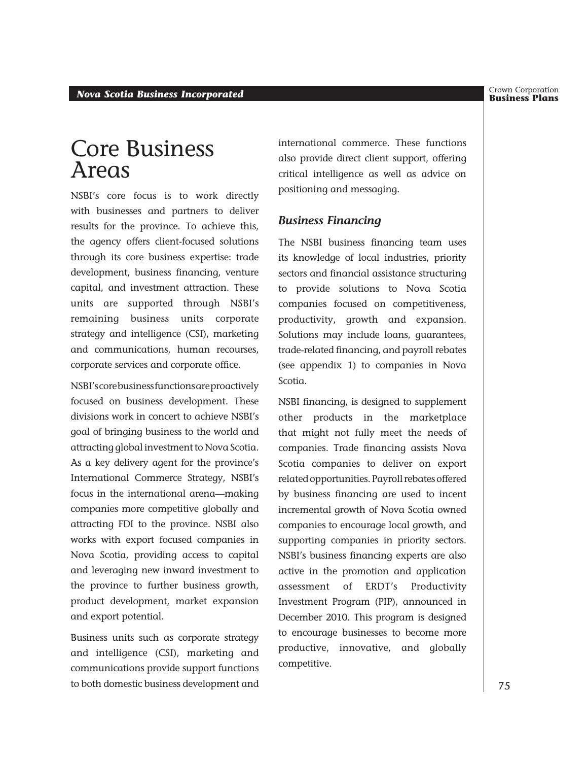## Core Business Areas

NSBI's core focus is to work directly with businesses and partners to deliver results for the province. To achieve this, the agency offers client-focused solutions through its core business expertise: trade development, business financing, venture capital, and investment attraction. These units are supported through NSBI's remaining business units corporate strategy and intelligence (CSI), marketing and communications, human recourses, corporate services and corporate office.

NSBI's core business functions are proactively focused on business development. These divisions work in concert to achieve NSBI's goal of bringing business to the world and attracting global investment to Nova Scotia. As a key delivery agent for the province's International Commerce Strategy, NSBI's focus in the international arena—making companies more competitive globally and attracting FDI to the province. NSBI also works with export focused companies in Nova Scotia, providing access to capital and leveraging new inward investment to the province to further business growth, product development, market expansion and export potential.

Business units such as corporate strategy and intelligence (CSI), marketing and communications provide support functions to both domestic business development and international commerce. These functions also provide direct client support, offering critical intelligence as well as advice on positioning and messaging.

#### *Business Financing*

The NSBI business financing team uses its knowledge of local industries, priority sectors and financial assistance structuring to provide solutions to Nova Scotia companies focused on competitiveness, productivity, growth and expansion. Solutions may include loans, guarantees, trade-related financing, and payroll rebates (see appendix 1) to companies in Nova Scotia.

NSBI financing, is designed to supplement other products in the marketplace that might not fully meet the needs of companies. Trade financing assists Nova Scotia companies to deliver on export related opportunities. Payroll rebates offered by business financing are used to incent incremental growth of Nova Scotia owned companies to encourage local growth, and supporting companies in priority sectors. NSBI's business financing experts are also active in the promotion and application assessment of ERDT's Productivity Investment Program (PIP), announced in December 2010. This program is designed to encourage businesses to become more productive, innovative, and globally competitive.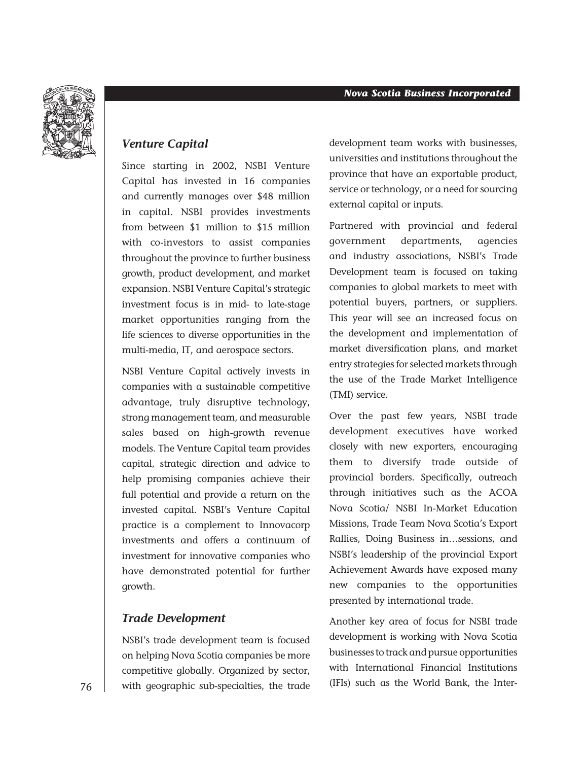

#### *Venture Capital*

Since starting in 2002, NSBI Venture Capital has invested in 16 companies and currently manages over \$48 million in capital. NSBI provides investments from between \$1 million to \$15 million with co-investors to assist companies throughout the province to further business growth, product development, and market expansion. NSBI Venture Capital's strategic investment focus is in mid- to late-stage market opportunities ranging from the life sciences to diverse opportunities in the multi-media, IT, and aerospace sectors.

NSBI Venture Capital actively invests in companies with a sustainable competitive advantage, truly disruptive technology, strong management team, and measurable sales based on high-growth revenue models. The Venture Capital team provides capital, strategic direction and advice to help promising companies achieve their full potential and provide a return on the invested capital. NSBI's Venture Capital practice is a complement to Innovacorp investments and offers a continuum of investment for innovative companies who have demonstrated potential for further growth.

#### *Trade Development*

NSBI's trade development team is focused on helping Nova Scotia companies be more competitive globally. Organized by sector, with geographic sub-specialties, the trade

development team works with businesses, universities and institutions throughout the province that have an exportable product, service or technology, or a need for sourcing external capital or inputs.

Partnered with provincial and federal government departments, agencies and industry associations, NSBI's Trade Development team is focused on taking companies to global markets to meet with potential buyers, partners, or suppliers. This year will see an increased focus on the development and implementation of market diversification plans, and market entry strategies for selected markets through the use of the Trade Market Intelligence (TMI) service.

Over the past few years, NSBI trade development executives have worked closely with new exporters, encouraging them to diversify trade outside of provincial borders. Specifically, outreach through initiatives such as the ACOA Nova Scotia/ NSBI In-Market Education Missions, Trade Team Nova Scotia's Export Rallies, Doing Business in…sessions, and NSBI's leadership of the provincial Export Achievement Awards have exposed many new companies to the opportunities presented by international trade.

Another key area of focus for NSBI trade development is working with Nova Scotia businesses to track and pursue opportunities with International Financial Institutions (IFIs) such as the World Bank, the Inter-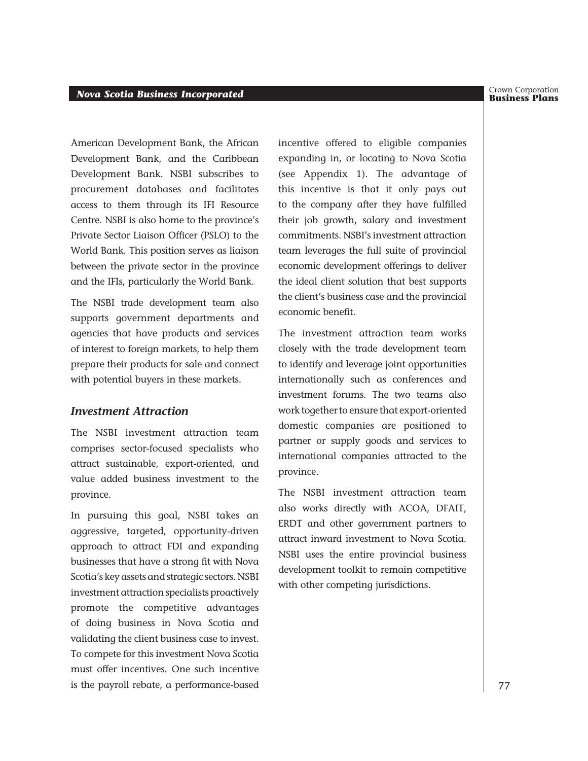#### Crown Corporation

#### *Business Incorporated* **Business** *Incorporated* **Business Plans** *Business Plans*

American Development Bank, the African Development Bank, and the Caribbean Development Bank. NSBI subscribes to procurement databases and facilitates access to them through its IFI Resource Centre. NSBI is also home to the province's Private Sector Liaison Officer (PSLO) to the World Bank. This position serves as liaison between the private sector in the province and the IFIs, particularly the World Bank.

The NSBI trade development team also supports government departments and agencies that have products and services of interest to foreign markets, to help them prepare their products for sale and connect with potential buyers in these markets.

#### *Investment Attraction*

The NSBI investment attraction team comprises sector-focused specialists who attract sustainable, export-oriented, and value added business investment to the province.

In pursuing this goal, NSBI takes an aggressive, targeted, opportunity-driven approach to attract FDI and expanding businesses that have a strong fit with Nova Scotia's key assets and strategic sectors. NSBI investment attraction specialists proactively promote the competitive advantages of doing business in Nova Scotia and validating the client business case to invest. To compete for this investment Nova Scotia must offer incentives. One such incentive is the payroll rebate, a performance-based

incentive offered to eligible companies expanding in, or locating to Nova Scotia (see Appendix 1). The advantage of this incentive is that it only pays out to the company after they have fulfilled their job growth, salary and investment commitments. NSBI's investment attraction team leverages the full suite of provincial economic development offerings to deliver the ideal client solution that best supports the client's business case and the provincial economic benefit.

The investment attraction team works closely with the trade development team to identify and leverage joint opportunities internationally such as conferences and investment forums. The two teams also work together to ensure that export-oriented domestic companies are positioned to partner or supply goods and services to international companies attracted to the province.

The NSBI investment attraction team also works directly with ACOA, DFAIT, ERDT and other government partners to attract inward investment to Nova Scotia. NSBI uses the entire provincial business development toolkit to remain competitive with other competing jurisdictions.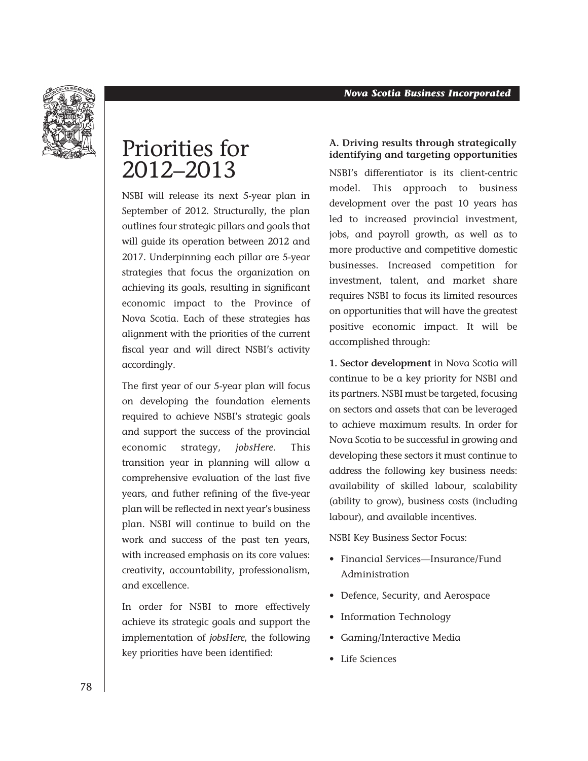

## Priorities for 2012–2013

NSBI will release its next 5-year plan in September of 2012. Structurally, the plan outlines four strategic pillars and goals that will guide its operation between 2012 and 2017. Underpinning each pillar are 5-year strategies that focus the organization on achieving its goals, resulting in significant economic impact to the Province of Nova Scotia. Each of these strategies has alignment with the priorities of the current fiscal year and will direct NSBI's activity accordingly.

The first year of our 5-year plan will focus on developing the foundation elements required to achieve NSBI's strategic goals and support the success of the provincial economic strategy, *jobsHere*. This transition year in planning will allow a comprehensive evaluation of the last five years, and futher refining of the five-year plan will be reflected in next year's business plan. NSBI will continue to build on the work and success of the past ten years, with increased emphasis on its core values: creativity, accountability, professionalism, and excellence.

In order for NSBI to more effectively achieve its strategic goals and support the implementation of *jobsHere*, the following key priorities have been identified:

#### **A. Driving results through strategically identifying and targeting opportunities**

NSBI's differentiator is its client-centric model. This approach to business development over the past 10 years has led to increased provincial investment, jobs, and payroll growth, as well as to more productive and competitive domestic businesses. Increased competition for investment, talent, and market share requires NSBI to focus its limited resources on opportunities that will have the greatest positive economic impact. It will be accomplished through:

**1. Sector development** in Nova Scotia will continue to be a key priority for NSBI and its partners. NSBI must be targeted, focusing on sectors and assets that can be leveraged to achieve maximum results. In order for Nova Scotia to be successful in growing and developing these sectors it must continue to address the following key business needs: availability of skilled labour, scalability (ability to grow), business costs (including labour), and available incentives.

NSBI Key Business Sector Focus:

- Financial Services—Insurance/Fund Administration
- • Defence, Security, and Aerospace
- Information Technology
- • Gaming/Interactive Media
- • Life Sciences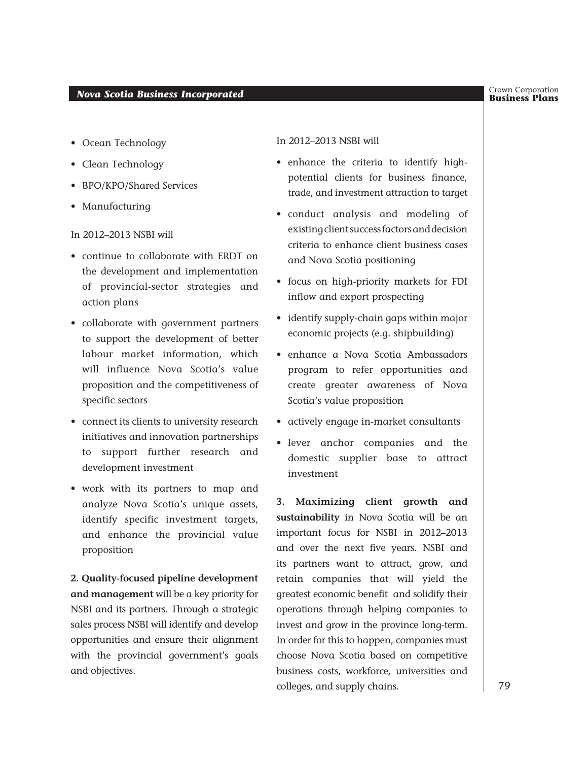- Ocean Technology
- Clean Technology
- BPO/KPO/Shared Services
- • Manufacturing

In 2012–2013 NSBI will

- • continue to collaborate with ERDT on the development and implementation of provincial-sector strategies and action plans
- • collaborate with government partners to support the development of better labour market information, which will influence Nova Scotia's value proposition and the competitiveness of specific sectors
- • connect its clients to university research initiatives and innovation partnerships to support further research and development investment
- • work with its partners to map and analyze Nova Scotia's unique assets, identify specific investment targets, and enhance the provincial value proposition

**2. Quality-focused pipeline development and management** will be a key priority for NSBI and its partners. Through a strategic sales process NSBI will identify and develop opportunities and ensure their alignment with the provincial government's goals and objectives.

In 2012–2013 NSBI will

- enhance the criteria to identify highpotential clients for business finance, trade, and investment attraction to target
- • conduct analysis and modeling of existing client success factors and decision criteria to enhance client business cases and Nova Scotia positioning
- • focus on high-priority markets for FDI inflow and export prospecting
- identify supply-chain gaps within major economic projects (e.g. shipbuilding)
- • enhance a Nova Scotia Ambassadors program to refer opportunities and create greater awareness of Nova Scotia's value proposition
- • actively engage in-market consultants
- • lever anchor companies and the domestic supplier base to attract investment

**3. Maximizing client growth and sustainability** in Nova Scotia will be an important focus for NSBI in 2012–2013 and over the next five years. NSBI and its partners want to attract, grow, and retain companies that will yield the greatest economic benefit and solidify their operations through helping companies to invest and grow in the province long-term. In order for this to happen, companies must choose Nova Scotia based on competitive business costs, workforce, universities and colleges, and supply chains.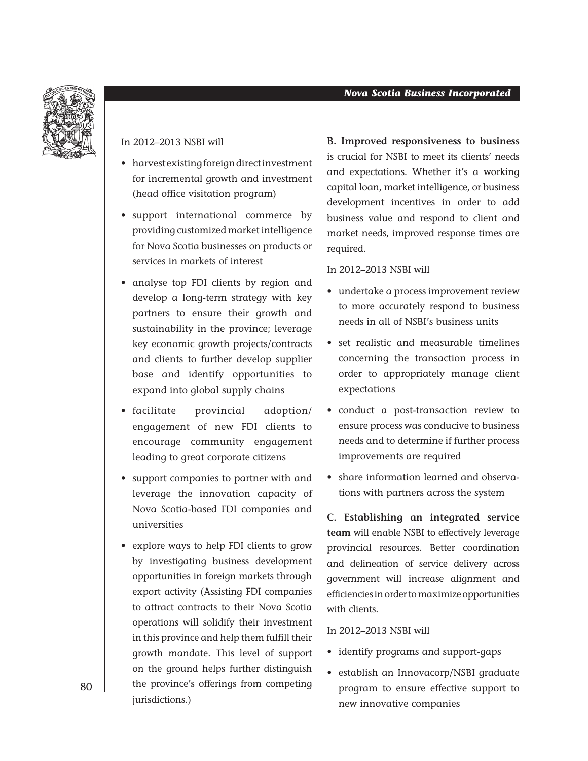#### *Nova Scotia Business Incorporated*



#### In 2012–2013 NSBI will

- harvest existing foreign direct investment for incremental growth and investment (head office visitation program)
- • support international commerce by providing customized market intelligence for Nova Scotia businesses on products or services in markets of interest
- • analyse top FDI clients by region and develop a long-term strategy with key partners to ensure their growth and sustainability in the province; leverage key economic growth projects/contracts and clients to further develop supplier base and identify opportunities to expand into global supply chains
- • facilitate provincial adoption/ engagement of new FDI clients to encourage community engagement leading to great corporate citizens
- • support companies to partner with and leverage the innovation capacity of Nova Scotia-based FDI companies and universities
- explore ways to help FDI clients to grow by investigating business development opportunities in foreign markets through export activity (Assisting FDI companies to attract contracts to their Nova Scotia operations will solidify their investment in this province and help them fulfill their growth mandate. This level of support on the ground helps further distinguish the province's offerings from competing jurisdictions.)

**B. Improved responsiveness to business** is crucial for NSBI to meet its clients' needs and expectations. Whether it's a working capital loan, market intelligence, or business development incentives in order to add business value and respond to client and market needs, improved response times are required.

#### In 2012–2013 NSBI will

- undertake a process improvement review to more accurately respond to business needs in all of NSBI's business units
- set realistic and measurable timelines concerning the transaction process in order to appropriately manage client expectations
- • conduct a post-transaction review to ensure process was conducive to business needs and to determine if further process improvements are required
- share information learned and observations with partners across the system

**C. Establishing an integrated service team** will enable NSBI to effectively leverage provincial resources. Better coordination and delineation of service delivery across government will increase alignment and efficiencies in order to maximize opportunities with clients.

#### In 2012–2013 NSBI will

- • identify programs and support-gaps
- • establish an Innovacorp/NSBI graduate program to ensure effective support to new innovative companies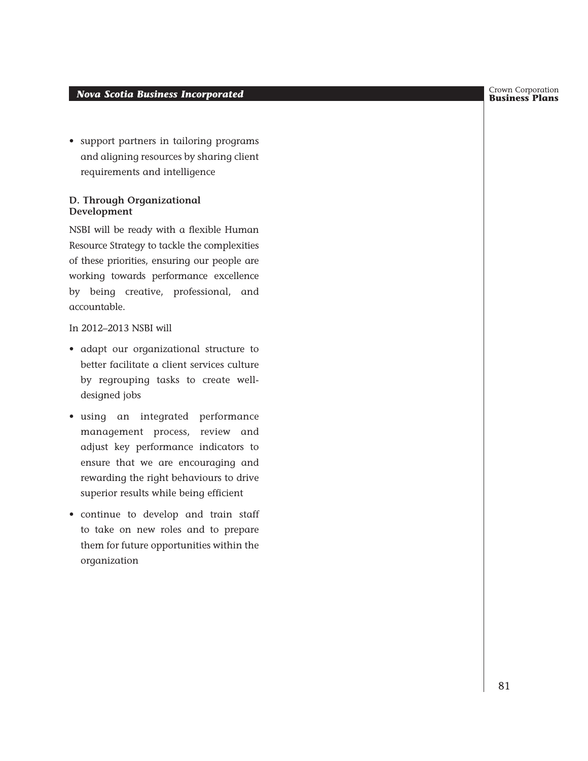#### *Business Incorporated* **Business** *Incorporated* **Business Plans** *Business Plans*

• support partners in tailoring programs and aligning resources by sharing client requirements and intelligence

#### **D. Through Organizational Development**

NSBI will be ready with a flexible Human Resource Strategy to tackle the complexities of these priorities, ensuring our people are working towards performance excellence by being creative, professional, and accountable.

In 2012–2013 NSBI will

- • adapt our organizational structure to better facilitate a client services culture by regrouping tasks to create welldesigned jobs
- • using an integrated performance management process, review and adjust key performance indicators to ensure that we are encouraging and rewarding the right behaviours to drive superior results while being efficient
- • continue to develop and train staff to take on new roles and to prepare them for future opportunities within the organization

Crown Corporation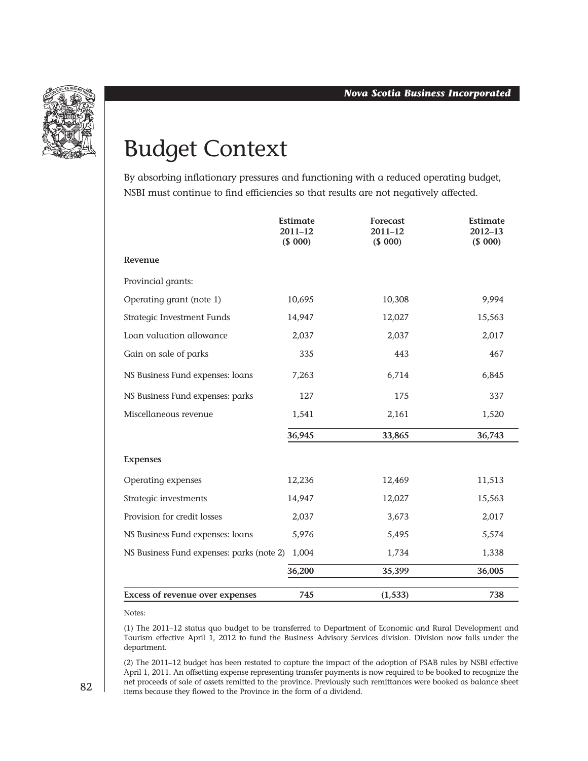

## Budget Context

By absorbing inflationary pressures and functioning with a reduced operating budget, NSBI must continue to find efficiencies so that results are not negatively affected.

|                                           | Estimate<br>$2011 - 12$<br>(\$000) | Forecast<br>2011-12<br>(\$000) | <b>Estimate</b><br>2012-13<br>(\$000) |
|-------------------------------------------|------------------------------------|--------------------------------|---------------------------------------|
| Revenue                                   |                                    |                                |                                       |
| Provincial grants:                        |                                    |                                |                                       |
| Operating grant (note 1)                  | 10,695                             | 10,308                         | 9,994                                 |
| Strategic Investment Funds                | 14,947                             | 12,027                         | 15,563                                |
| Loan valuation allowance                  | 2,037                              | 2,037                          | 2,017                                 |
| Gain on sale of parks                     | 335                                | 443                            | 467                                   |
| NS Business Fund expenses: loans          | 7,263                              | 6,714                          | 6,845                                 |
| NS Business Fund expenses: parks          | 127                                | 175                            | 337                                   |
| Miscellaneous revenue                     | 1,541                              | 2,161                          | 1,520                                 |
|                                           | 36,945                             | 33,865                         | 36,743                                |
| <b>Expenses</b>                           |                                    |                                |                                       |
| Operating expenses                        | 12,236                             | 12,469                         | 11,513                                |
| Strategic investments                     | 14,947                             | 12,027                         | 15,563                                |
| Provision for credit losses               | 2,037                              | 3,673                          | 2,017                                 |
| NS Business Fund expenses: loans          | 5,976                              | 5,495                          | 5,574                                 |
| NS Business Fund expenses: parks (note 2) | 1,004                              | 1,734                          | 1,338                                 |
|                                           | 36,200                             | 35,399                         | 36,005                                |
| <b>Excess of revenue over expenses</b>    | 745                                | (1, 533)                       | 738                                   |

Notes:

(1) The 2011–12 status quo budget to be transferred to Department of Economic and Rural Development and Tourism effective April 1, 2012 to fund the Business Advisory Services division. Division now falls under the department.

(2) The 2011–12 budget has been restated to capture the impact of the adoption of PSAB rules by NSBI effective April 1, 2011. An offsetting expense representing transfer payments is now required to be booked to recognize the net proceeds of sale of assets remitted to the province. Previously such remittances were booked as balance sheet items because they flowed to the Province in the form of a dividend.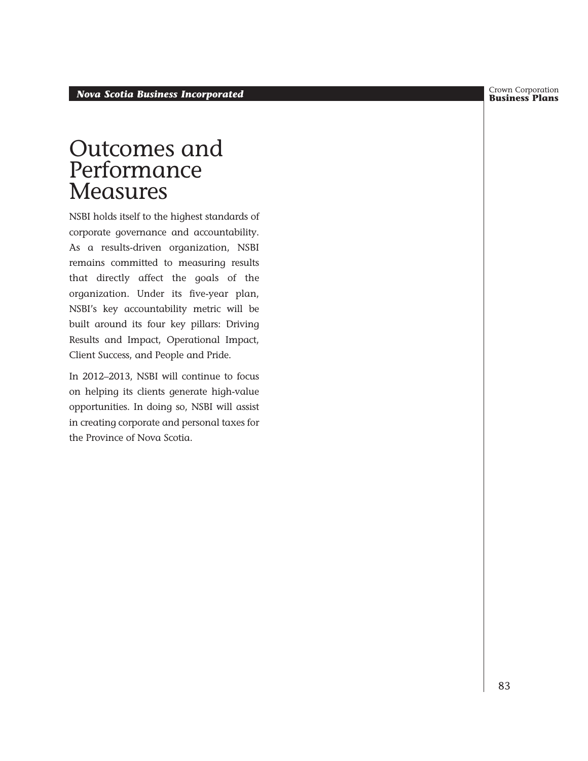Crown Corporation

## Outcomes and Performance **Measures**

NSBI holds itself to the highest standards of corporate governance and accountability. As a results-driven organization, NSBI remains committed to measuring results that directly affect the goals of the organization. Under its five-year plan, NSBI's key accountability metric will be built around its four key pillars: Driving Results and Impact, Operational Impact, Client Success, and People and Pride.

In 2012–2013, NSBI will continue to focus on helping its clients generate high-value opportunities. In doing so, NSBI will assist in creating corporate and personal taxes for the Province of Nova Scotia.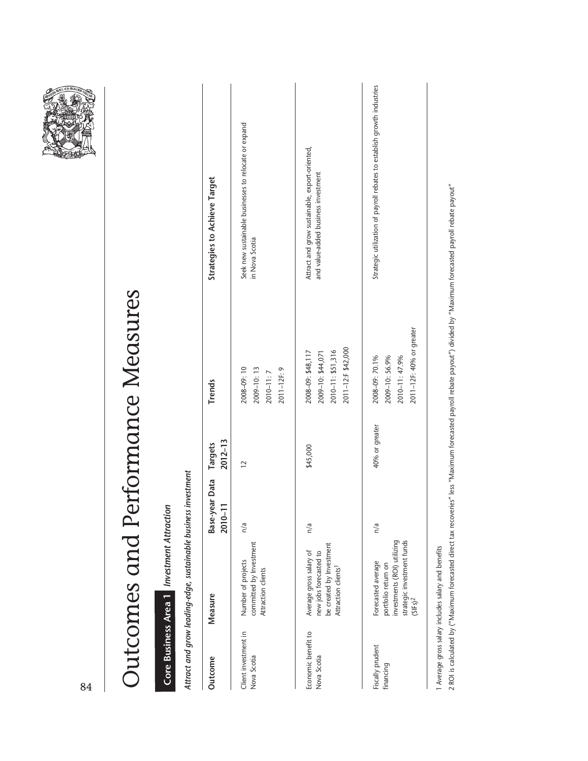| 84                                  |                                                                                                                               |                              |                        |                                                                                   |                                                                                       |
|-------------------------------------|-------------------------------------------------------------------------------------------------------------------------------|------------------------------|------------------------|-----------------------------------------------------------------------------------|---------------------------------------------------------------------------------------|
|                                     |                                                                                                                               |                              |                        | Outcomes and Performance Measures                                                 |                                                                                       |
|                                     | Core Business Area 1 Investment Attraction                                                                                    |                              |                        |                                                                                   |                                                                                       |
|                                     | Attract and grow leading-edge, sustainable business investment                                                                |                              |                        |                                                                                   |                                                                                       |
| Outcome                             | Measure                                                                                                                       | Base-year Data<br>$2010 - 1$ | $2012 - 13$<br>Targets | Trends                                                                            | Strategies to Achieve Target                                                          |
| Client investment in<br>Nova Scotia | committed by Investment<br>Number of projects<br>Attraction clients                                                           | n/a                          | $\overline{2}$         | 2008-09:10<br>2009-10:13<br>2011-12F: 9<br>2010-11:7                              | Seek new sustainable businesses to relocate or expand<br>in Nova Scotia               |
| Economic benefit to<br>Nova Scotia  | be created by Investment<br>Average gross salary of<br>new jobs forecasted to<br>Attraction clients <sup>1</sup>              | n/a                          | \$45,000               | 2011-12:F \$42,000<br>2010-11: \$51,316<br>2008-09: \$48,117<br>2009-10: \$44,071 | Attract and grow sustainable, export-oriented,<br>and value-added business investment |
| Fiscally prudent<br>financing       | investments (ROI) utilizing<br>strategic investment funds<br>Forecasted average<br>portfolio return on<br>(SIFs) <sup>2</sup> | n/a                          | 40% or greater         | 2011-12F: 40% or greater<br>2008-09: 70.1%<br>2009-10: 56.9%<br>2010-11: 47.9%    | Strategic utilization of payroll rebates to establish growth industries               |

**ARCEBALE** 

1 Average gross salary includes salary and benefits 1 Average gross salary includes salary and benefits

2 ROI is calculated by ("Maximum forecasted direct tax recoveries" less "Maximum forecasted payroll rebate payout" divided by "Maximum forecasted payroll rebate payout" 2 ROI is calculated by ("Maximum forecasted direct tax recoveries" less "Maximum forecasted payroll rebate payout") divided by "Maximum forecasted payroll rebate payout"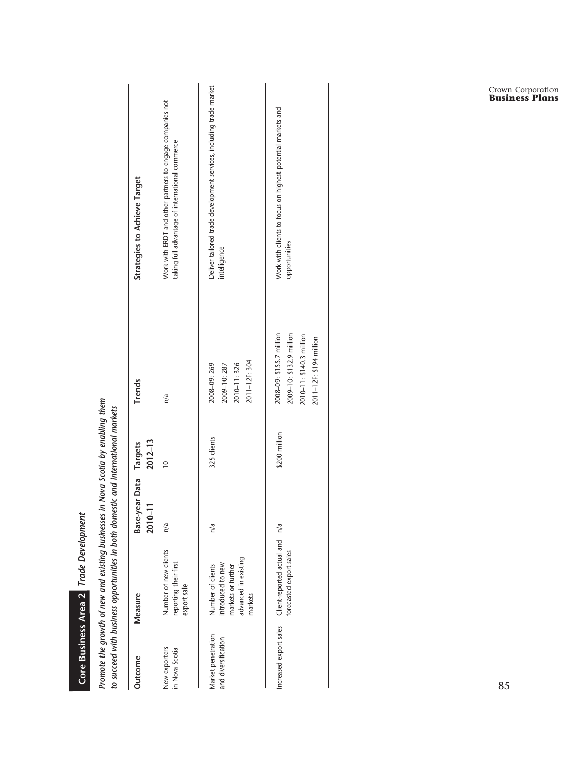|                                           | to succeed with business opportunities in both domestic and international markets               |                                  |               |                                                                                                             |                                                                                                              |
|-------------------------------------------|-------------------------------------------------------------------------------------------------|----------------------------------|---------------|-------------------------------------------------------------------------------------------------------------|--------------------------------------------------------------------------------------------------------------|
| Outcome                                   | Measure                                                                                         | Base-year Data Targets<br>2010-1 | $2012 - 13$   | <b>Trends</b>                                                                                               | Strategies to Achieve Target                                                                                 |
| New exporters<br>in Nova Scotia           | Number of new clients<br>reporting their first<br>export sale                                   | n/a                              | $\approx$     | n/a                                                                                                         | Work with ERDT and other partners to engage companies not<br>taking full advantage of international commerce |
| Market penetration<br>and diversification | advanced in existing<br>introduced to new<br>Number of clients<br>markets or further<br>markets | n/a                              | 325 clients   | 2011-12F: 304<br>2010-11:326<br>2008-09: 269<br>2009-10:287                                                 | Deliver tailored trade development services, including trade market<br>intelligence                          |
| Increased export sales                    | Client-reported actual and n/a<br>forecasted export sales                                       |                                  | \$200 million | 2008-09: \$155.7 million<br>2009-10: \$132.9 million<br>2010-11: \$140.3 million<br>2011-12F: \$194 million | Work with clients to focus on highest potential markets and<br>opportunities                                 |
|                                           |                                                                                                 |                                  |               |                                                                                                             |                                                                                                              |

Promote the growth of new and existing businesses in Nova Scotia by enabling them *Promote the growth of new and existing businesses in Nova Scotia by enabling them* 

 *Trade Development*

**Core Business Area 2** 

Core Business Area 2 Trade Development

Crown Corporation **Business Plans**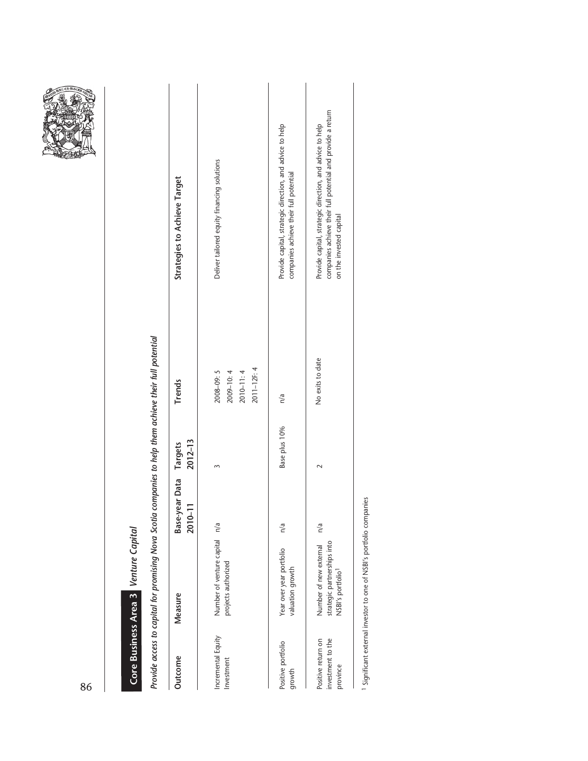|--|

# Core Business Area 3 Venture Capital  *Venture Capital* **Core Business Area 3**

Provide access to capital for promising Nova Scotia companies to help them achieve their full potential *Provide access to capital for promising Nova Scotia companies to help them achieve their full potential*

| Outcome                                             | Measure                                                                                | Base-year Data Targets<br>$2010 - 1$ | $2012 - 13$   | <b>Trends</b>                                          | <b>Strategies to Achieve Target</b>                                                                                                                |
|-----------------------------------------------------|----------------------------------------------------------------------------------------|--------------------------------------|---------------|--------------------------------------------------------|----------------------------------------------------------------------------------------------------------------------------------------------------|
| Incremental Equity<br>Investment                    | Number of venture capital n/a<br>projects authorized                                   |                                      |               | 2011-12F: 4<br>2008-09:5<br>2009-10:4<br>$2010 - 11:4$ | Deliver tailored equity financing solutions                                                                                                        |
| Positive portfolio<br>growth                        | Year over year portfolio<br>valuation growth                                           | n/a                                  | Base plus 10% | n/a                                                    | Provide capital, strategic direction, and advice to help<br>companies achieve their full potential                                                 |
| investment to the<br>Positive return on<br>province | strategic partnerships into<br>Number of new external<br>NSBI's portfolio <sup>1</sup> | n/a                                  |               | No exits to date                                       | companies achieve their full potential and provide a return<br>Provide capital, strategic direction, and advice to help<br>on the invested capital |
|                                                     |                                                                                        |                                      |               |                                                        |                                                                                                                                                    |

1 Significant external investor to one of NSBI's portfolio companies 1 Significant external investor to one of NSBI's portfolio companies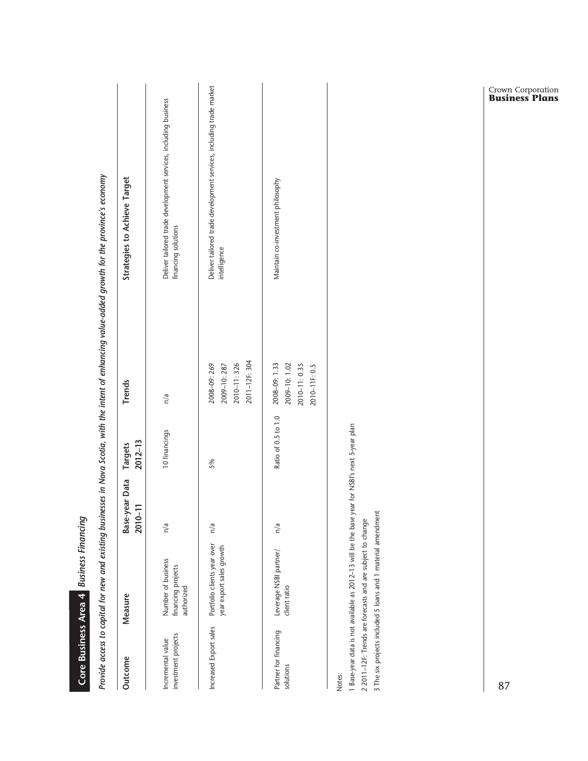|                                          | Core Business Area 4 Business Financing                                                                                                                                                                                      |                              |                        |                                                                                                                                                      |                                                                                        |
|------------------------------------------|------------------------------------------------------------------------------------------------------------------------------------------------------------------------------------------------------------------------------|------------------------------|------------------------|------------------------------------------------------------------------------------------------------------------------------------------------------|----------------------------------------------------------------------------------------|
|                                          |                                                                                                                                                                                                                              |                              |                        | Provide access to capital for new and existing businesses in Nova Scotia, with the intent of enhancing value-added growth for the province's economy |                                                                                        |
| Outcome                                  | Measure                                                                                                                                                                                                                      | Base-year Data<br>Ξ<br>2010- | $2012 - 13$<br>Targets | Trends                                                                                                                                               | <b>Strategies to Achieve Target</b>                                                    |
| investment projects<br>Incremental value | Number of business<br>financing projects<br>authorized                                                                                                                                                                       | n/a                          | 10 financings          | n/a                                                                                                                                                  | Deliver tailored trade development services, including business<br>financing solutions |
| Increased Export sales                   | Portfolio clients year over<br>year export sales growth                                                                                                                                                                      | n/a                          | 5%                     | 2011-12F: 304<br>2010-11:326<br>2008-09: 269<br>2009-10:287                                                                                          | Deliver tailored trade development services, including trade market<br>intelligence    |
| Partner for financing<br>solutions       | Leverage NSBI partner/<br>client ratio                                                                                                                                                                                       | n/a                          | Ratio of 0.5 to 1.0    | 2009-10:1.02<br>2008-09: 1.33<br>2010-11: 0.35<br>2010-11F: 0.5                                                                                      | Maintain co-investment philosophy                                                      |
| Notes:                                   | 1 Base-year data is not available as 2012-13 will be the base year for NSBI's next 5-year plan<br>3 The six projects included 5 loans and 1 material amendment<br>2 2011-12F: Trends are forecasts and are subject to change |                              |                        |                                                                                                                                                      |                                                                                        |

Crown Corporation **Business Plans**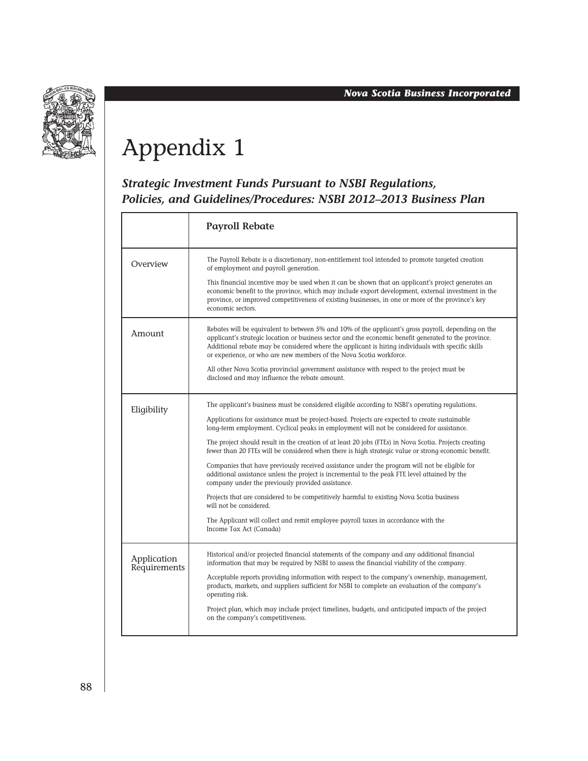

## Appendix 1

#### *Strategic Investment Funds Pursuant to NSBI Regulations, Policies, and Guidelines/Procedures: NSBI 2012–2013 Business Plan*

|                             | <b>Payroll Rebate</b>                                                                                                                                                                                                                                                                                                                                                                     |
|-----------------------------|-------------------------------------------------------------------------------------------------------------------------------------------------------------------------------------------------------------------------------------------------------------------------------------------------------------------------------------------------------------------------------------------|
| Overview                    | The Payroll Rebate is a discretionary, non-entitlement tool intended to promote targeted creation<br>of employment and payroll generation.                                                                                                                                                                                                                                                |
|                             | This financial incentive may be used when it can be shown that an applicant's project generates an<br>economic benefit to the province, which may include export development, external investment in the<br>province, or improved competitiveness of existing businesses, in one or more of the province's key<br>economic sectors.                                                       |
| Amount                      | Rebates will be equivalent to between 5% and 10% of the applicant's gross payroll, depending on the<br>applicant's strategic location or business sector and the economic benefit generated to the province.<br>Additional rebate may be considered where the applicant is hiring individuals with specific skills<br>or experience, or who are new members of the Nova Scotia workforce. |
|                             | All other Nova Scotia provincial government assistance with respect to the project must be<br>disclosed and may influence the rebate amount.                                                                                                                                                                                                                                              |
| Eligibility                 | The applicant's business must be considered eligible according to NSBI's operating regulations.                                                                                                                                                                                                                                                                                           |
|                             | Applications for assistance must be project-based. Projects are expected to create sustainable<br>long-term employment. Cyclical peaks in employment will not be considered for assistance.                                                                                                                                                                                               |
|                             | The project should result in the creation of at least 20 jobs (FTEs) in Nova Scotia. Projects creating<br>fewer than 20 FTEs will be considered when there is high strategic value or strong economic benefit.                                                                                                                                                                            |
|                             | Companies that have previously received assistance under the program will not be eligible for<br>additional assistance unless the project is incremental to the peak FTE level attained by the<br>company under the previously provided assistance.                                                                                                                                       |
|                             | Projects that are considered to be competitively harmful to existing Nova Scotia business<br>will not be considered.                                                                                                                                                                                                                                                                      |
|                             | The Applicant will collect and remit employee payroll taxes in accordance with the<br>Income Tax Act (Canada)                                                                                                                                                                                                                                                                             |
| Application<br>Requirements | Historical and/or projected financial statements of the company and any additional financial<br>information that may be required by NSBI to assess the financial viability of the company.                                                                                                                                                                                                |
|                             | Acceptable reports providing information with respect to the company's ownership, management,<br>products, markets, and suppliers sufficient for NSBI to complete an evaluation of the company's<br>operating risk.                                                                                                                                                                       |
|                             | Project plan, which may include project timelines, budgets, and anticipated impacts of the project<br>on the company's competitiveness.                                                                                                                                                                                                                                                   |
|                             |                                                                                                                                                                                                                                                                                                                                                                                           |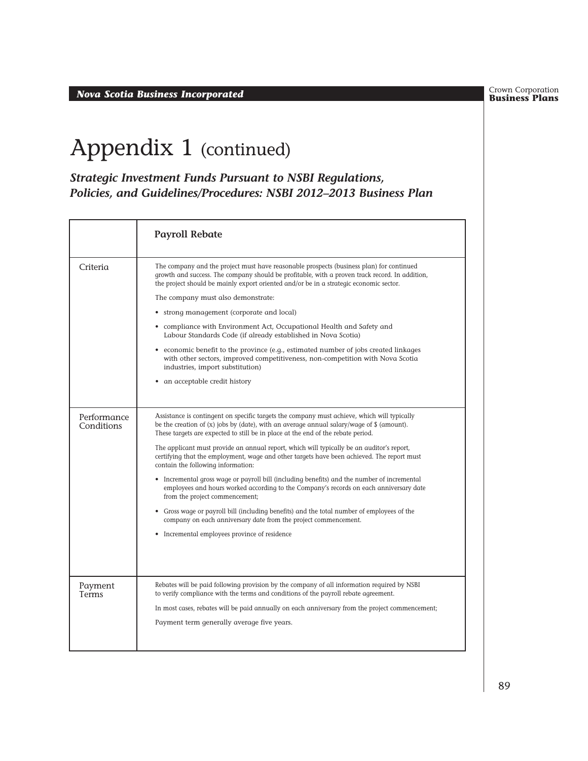**Business Plans** *Nova Scotia Business Incorporated*

Crown Corporation<br>**Business Plans** 

## Appendix 1 (continued)

*Strategic Investment Funds Pursuant to NSBI Regulations, Policies, and Guidelines/Procedures: NSBI 2012–2013 Business Plan*

|                           | <b>Payroll Rebate</b>                                                                                                                                                                                                                                                                                                                                                                                                                                                                                                                                                                                                                                                                                                                                                                                                                                                                                                                                                |
|---------------------------|----------------------------------------------------------------------------------------------------------------------------------------------------------------------------------------------------------------------------------------------------------------------------------------------------------------------------------------------------------------------------------------------------------------------------------------------------------------------------------------------------------------------------------------------------------------------------------------------------------------------------------------------------------------------------------------------------------------------------------------------------------------------------------------------------------------------------------------------------------------------------------------------------------------------------------------------------------------------|
| Criteria                  | The company and the project must have reasonable prospects (business plan) for continued<br>growth and success. The company should be profitable, with a proven track record. In addition,<br>the project should be mainly export oriented and/or be in a strategic economic sector.                                                                                                                                                                                                                                                                                                                                                                                                                                                                                                                                                                                                                                                                                 |
|                           | The company must also demonstrate:                                                                                                                                                                                                                                                                                                                                                                                                                                                                                                                                                                                                                                                                                                                                                                                                                                                                                                                                   |
|                           | • strong management (corporate and local)                                                                                                                                                                                                                                                                                                                                                                                                                                                                                                                                                                                                                                                                                                                                                                                                                                                                                                                            |
|                           | compliance with Environment Act, Occupational Health and Safety and<br>Labour Standards Code (if already established in Nova Scotia)                                                                                                                                                                                                                                                                                                                                                                                                                                                                                                                                                                                                                                                                                                                                                                                                                                 |
|                           | economic benefit to the province (e.g., estimated number of jobs created linkages<br>٠<br>with other sectors, improved competitiveness, non-competition with Nova Scotia<br>industries, import substitution)                                                                                                                                                                                                                                                                                                                                                                                                                                                                                                                                                                                                                                                                                                                                                         |
|                           | an acceptable credit history<br>٠                                                                                                                                                                                                                                                                                                                                                                                                                                                                                                                                                                                                                                                                                                                                                                                                                                                                                                                                    |
|                           |                                                                                                                                                                                                                                                                                                                                                                                                                                                                                                                                                                                                                                                                                                                                                                                                                                                                                                                                                                      |
| Performance<br>Conditions | Assistance is contingent on specific targets the company must achieve, which will typically<br>be the creation of $(x)$ jobs by (date), with an average annual salary/wage of $\oint$ (amount).<br>These targets are expected to still be in place at the end of the rebate period.<br>The applicant must provide an annual report, which will typically be an auditor's report,<br>certifying that the employment, wage and other targets have been achieved. The report must<br>contain the following information:<br>• Incremental gross wage or payroll bill (including benefits) and the number of incremental<br>employees and hours worked according to the Company's records on each anniversary date<br>from the project commencement;<br>Gross wage or payroll bill (including benefits) and the total number of employees of the<br>٠<br>company on each anniversary date from the project commencement.<br>• Incremental employees province of residence |
| Payment<br>Terms          | Rebates will be paid following provision by the company of all information required by NSBI<br>to verify compliance with the terms and conditions of the payroll rebate agreement.                                                                                                                                                                                                                                                                                                                                                                                                                                                                                                                                                                                                                                                                                                                                                                                   |
|                           | In most cases, rebates will be paid annually on each anniversary from the project commencement;                                                                                                                                                                                                                                                                                                                                                                                                                                                                                                                                                                                                                                                                                                                                                                                                                                                                      |
|                           | Payment term generally average five years.                                                                                                                                                                                                                                                                                                                                                                                                                                                                                                                                                                                                                                                                                                                                                                                                                                                                                                                           |
|                           |                                                                                                                                                                                                                                                                                                                                                                                                                                                                                                                                                                                                                                                                                                                                                                                                                                                                                                                                                                      |